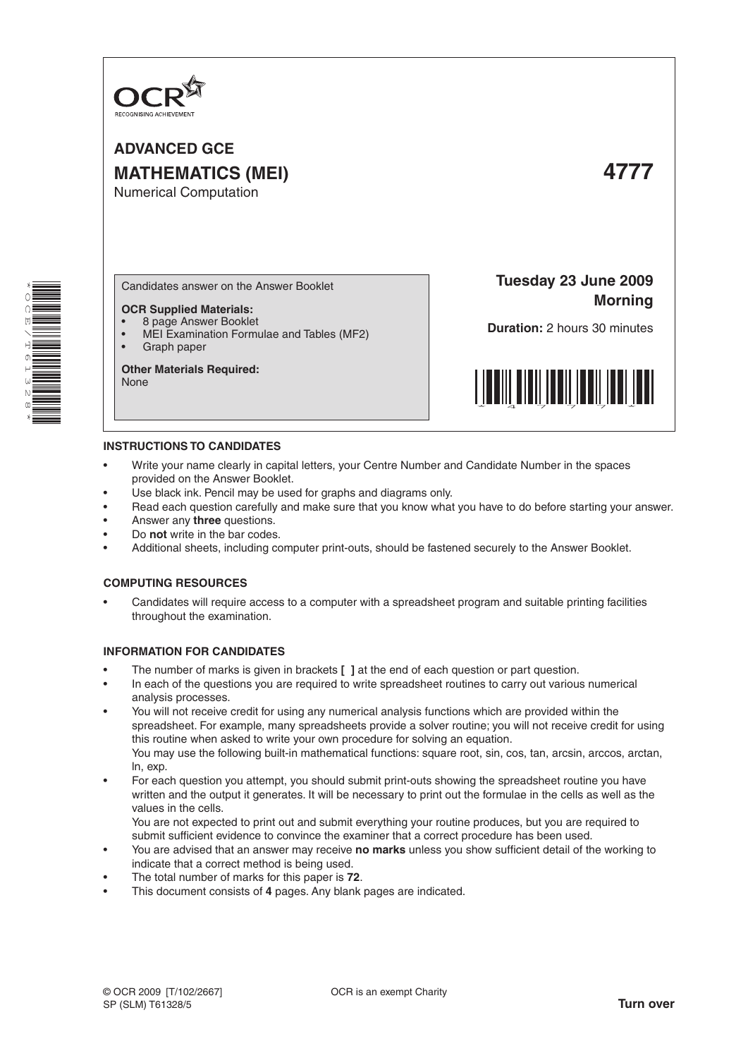

**ADVANCED GCE MATHEMATICS (MEI) 4777** Numerical Computation



Candidates answer on the Answer Booklet

# **OCR Supplied Materials:**

- 8 page Answer Booklet
- MEI Examination Formulae and Tables (MF2) Graph paper

#### **Other Materials Required:** None

**Tuesday 23 June 2009 Morning**

**Duration:** 2 hours 30 minutes



# **INSTRUCTIONS TO CANDIDATES**

- Write your name clearly in capital letters, your Centre Number and Candidate Number in the spaces provided on the Answer Booklet.
- Use black ink. Pencil may be used for graphs and diagrams only.
- Read each question carefully and make sure that you know what you have to do before starting your answer.
- Answer any **three** questions.
- Do **not** write in the bar codes.
- Additional sheets, including computer print-outs, should be fastened securely to the Answer Booklet.

## **COMPUTING RESOURCES**

Candidates will require access to a computer with a spreadsheet program and suitable printing facilities throughout the examination.

## **INFORMATION FOR CANDIDATES**

- The number of marks is given in brackets [ ] at the end of each question or part question.
- In each of the questions you are required to write spreadsheet routines to carry out various numerical analysis processes.
- You will not receive credit for using any numerical analysis functions which are provided within the spreadsheet. For example, many spreadsheets provide a solver routine; you will not receive credit for using this routine when asked to write your own procedure for solving an equation. You may use the following built-in mathematical functions: square root, sin, cos, tan, arcsin, arccos, arctan, ln, exp.
- For each question you attempt, you should submit print-outs showing the spreadsheet routine you have written and the output it generates. It will be necessary to print out the formulae in the cells as well as the values in the cells.

 You are not expected to print out and submit everything your routine produces, but you are required to submit sufficient evidence to convince the examiner that a correct procedure has been used.

- You are advised that an answer may receive **no marks** unless you show sufficient detail of the working to indicate that a correct method is being used.
- The total number of marks for this paper is 72.
- This document consists of 4 pages. Any blank pages are indicated.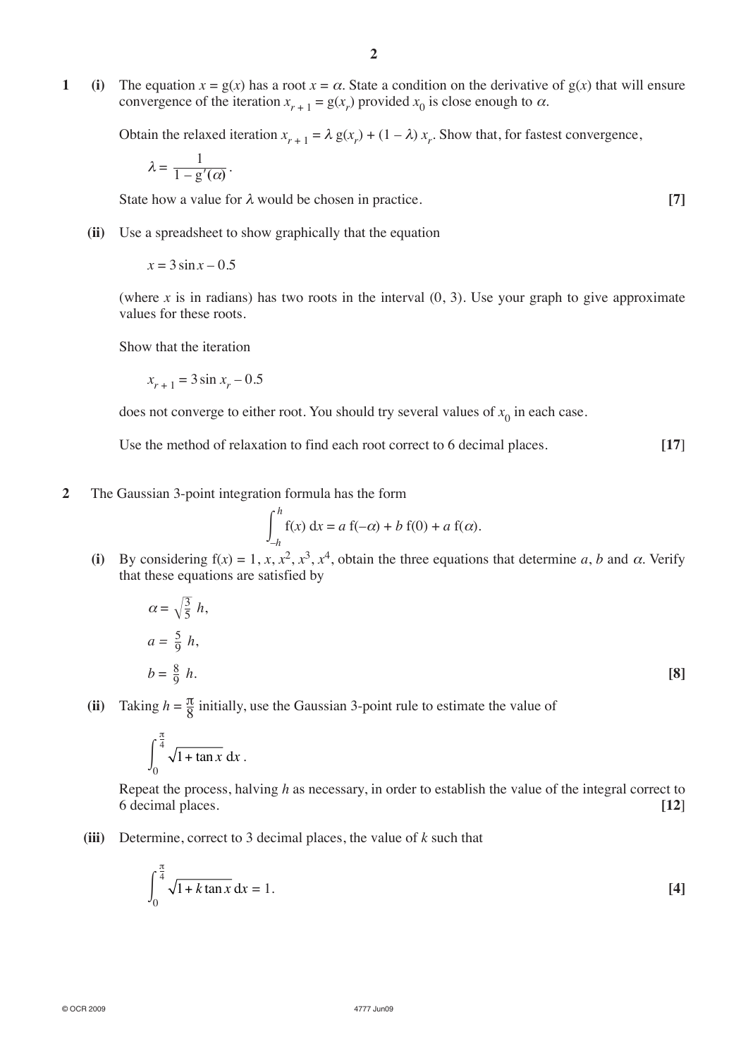**1 (i)** The equation  $x = g(x)$  has a root  $x = \alpha$ . State a condition on the derivative of  $g(x)$  that will ensure convergence of the iteration  $x_{r+1} = g(x_r)$  provided  $x_0$  is close enough to  $\alpha$ .

Obtain the relaxed iteration  $x_{r+1} = \lambda g(x_r) + (1 - \lambda) x_r$ . Show that, for fastest convergence,

$$
\lambda=\frac{1}{1-\mathrm{g}'(\alpha)}\,.
$$

**State how a value for**  $\lambda$  **would be chosen in practice.** [7]

**(ii)** Use a spreadsheet to show graphically that the equation

 $x = 3 \sin x - 0.5$ 

(where *x* is in radians) has two roots in the interval  $(0, 3)$ . Use your graph to give approximate values for these roots.

Show that the iteration

$$
x_{r+1} = 3\sin x_r - 0.5
$$

does not converge to either root. You should try several values of  $x_0$  in each case.

Use the method of relaxation to find each root correct to 6 decimal places. [17]

**2** The Gaussian 3-point integration formula has the form

$$
\int_{-h}^{h} f(x) dx = a f(-\alpha) + b f(0) + a f(\alpha).
$$

(i) By considering  $f(x) = 1, x, x^2, x^3, x^4$ , obtain the three equations that determine *a*, *b* and  $\alpha$ . Verify that these equations are satisfied by

$$
\alpha = \sqrt{\frac{3}{5}} h,
$$
  
\n
$$
a = \frac{5}{9} h,
$$
  
\n
$$
b = \frac{8}{9} h.
$$
 [8]

(ii) Taking  $h = \frac{\pi}{8}$  initially, use the Gaussian 3-point rule to estimate the value of

$$
\int_0^{\frac{\pi}{4}} \sqrt{1 + \tan x} \, \mathrm{d}x \, .
$$

Repeat the process, halving *h* as necessary, in order to establish the value of the integral correct to 6 decimal places. **[12**]

**(iii)** Determine, correct to 3 decimal places, the value of *k* such that

$$
\int_0^{\frac{\pi}{4}} \sqrt{1 + k \tan x} \, dx = 1.
$$
 [4]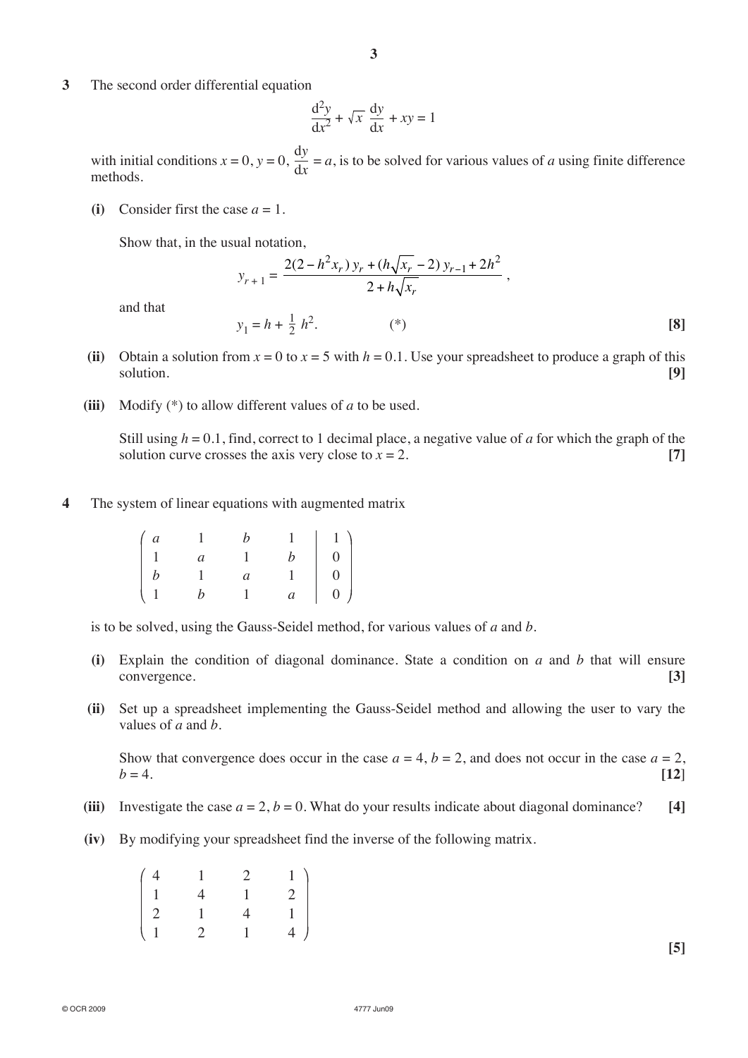**3** The second order differential equation

$$
\frac{d^2y}{dx^2} + \sqrt{x} \frac{dy}{dx} + xy = 1
$$

with initial conditions  $x = 0$ ,  $y = 0$ ,  $\frac{dy}{dx} = a$ , is to be solved for various values of *a* using finite difference methods.

**(i)** Consider first the case  $a = 1$ .

Show that, in the usual notation,

$$
y_{r+1} = \frac{2(2 - h^2 x_r) y_r + (h \sqrt{x_r} - 2) y_{r-1} + 2h^2}{2 + h \sqrt{x_r}},
$$

and that

(ii) Obtain a solution from  $x = 0$  to  $x = 5$  with  $h = 0.1$ . Use your spreadsheet to produce a graph of this solution. **[9]**

<sup>2</sup> *<sup>h</sup>*2. (\*) **[8]**

**(iii)** Modify (\*) to allow different values of *a* to be used.

 $y_1 = h + \frac{1}{2} h^2$ .

Still using  $h = 0.1$ , find, correct to 1 decimal place, a negative value of *a* for which the graph of the solution curve crosses the axis very close to  $x = 2$ . **[7]** 

**4** The system of linear equations with augmented matrix

| $\int a$ |                |                |                                                                   |
|----------|----------------|----------------|-------------------------------------------------------------------|
|          | $\overline{a}$ |                |                                                                   |
|          |                | $\overline{a}$ | $\begin{array}{c c} 1 & 1 \\ b & 0 \\ 1 & 0 \\ a & 0 \end{array}$ |
|          |                |                |                                                                   |

is to be solved, using the Gauss-Seidel method, for various values of *a* and *b*.

- **(i)** Explain the condition of diagonal dominance. State a condition on *a* and *b* that will ensure convergence. **[3]**
- **(ii)** Set up a spreadsheet implementing the Gauss-Seidel method and allowing the user to vary the values of *a* and *b*.

Show that convergence does occur in the case  $a = 4$ ,  $b = 2$ , and does not occur in the case  $a = 2$ ,  $b = 4.$  **[12]** 

- (iii) Investigate the case  $a = 2$ ,  $b = 0$ . What do your results indicate about diagonal dominance? [4]
- **(iv)** By modifying your spreadsheet find the inverse of the following matrix.

| $\left( \right.$ 4 | $\overline{1}$ | 2              | 1 <sup>1</sup> |
|--------------------|----------------|----------------|----------------|
| $\overline{1}$     | $\overline{4}$ | $\mathbf{1}$   | $\overline{2}$ |
| $\overline{2}$     | $\mathbf{1}$   | $\overline{4}$ | $\mathbf{1}$   |
| $\langle 1$        | 2              | $\mathbf{1}$   | 4 <sup>1</sup> |

**[5]**